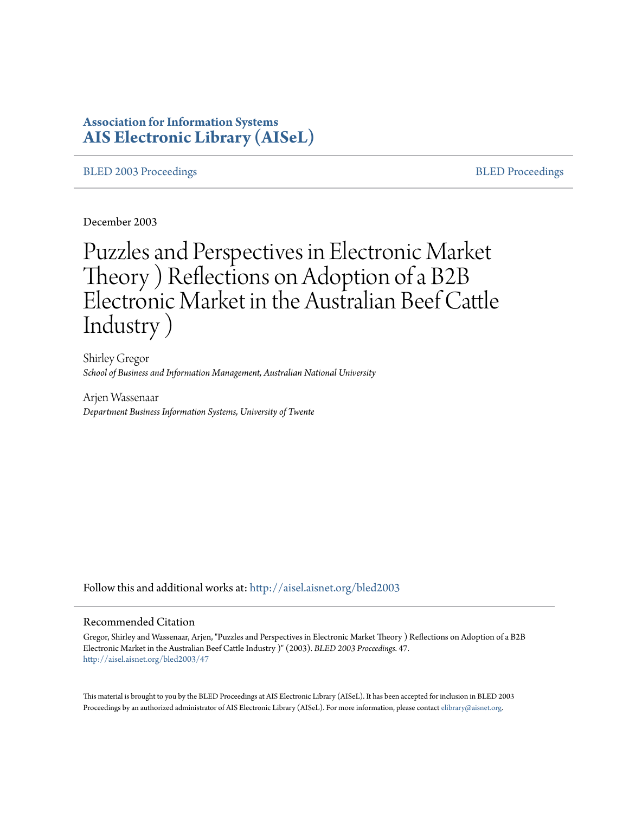# **Association for Information Systems [AIS Electronic Library \(AISeL\)](http://aisel.aisnet.org?utm_source=aisel.aisnet.org%2Fbled2003%2F47&utm_medium=PDF&utm_campaign=PDFCoverPages)**

## [BLED 2003 Proceedings](http://aisel.aisnet.org/bled2003?utm_source=aisel.aisnet.org%2Fbled2003%2F47&utm_medium=PDF&utm_campaign=PDFCoverPages) and the state of the state of the [BLED Proceedings](http://aisel.aisnet.org/bled?utm_source=aisel.aisnet.org%2Fbled2003%2F47&utm_medium=PDF&utm_campaign=PDFCoverPages) and the BLED Proceedings and the BLED Proceedings and the BLED Proceedings and the BLED Proceedings and the BLED Proceedings and the BLED Proceedings

December 2003

# Puzzles and Perspectives in Electronic Market Theory ) Reflections on Adoption of a B2B Electronic Market in the Australian Beef Cattle Industry )

Shirley Gregor *School of Business and Information Management, Australian National University*

Arjen Wassenaar *Department Business Information Systems, University of Twente*

Follow this and additional works at: [http://aisel.aisnet.org/bled2003](http://aisel.aisnet.org/bled2003?utm_source=aisel.aisnet.org%2Fbled2003%2F47&utm_medium=PDF&utm_campaign=PDFCoverPages)

#### Recommended Citation

Gregor, Shirley and Wassenaar, Arjen, "Puzzles and Perspectives in Electronic Market Theory ) Reflections on Adoption of a B2B Electronic Market in the Australian Beef Cattle Industry )" (2003). *BLED 2003 Proceedings*. 47. [http://aisel.aisnet.org/bled2003/47](http://aisel.aisnet.org/bled2003/47?utm_source=aisel.aisnet.org%2Fbled2003%2F47&utm_medium=PDF&utm_campaign=PDFCoverPages)

This material is brought to you by the BLED Proceedings at AIS Electronic Library (AISeL). It has been accepted for inclusion in BLED 2003 Proceedings by an authorized administrator of AIS Electronic Library (AISeL). For more information, please contact [elibrary@aisnet.org](mailto:elibrary@aisnet.org%3E).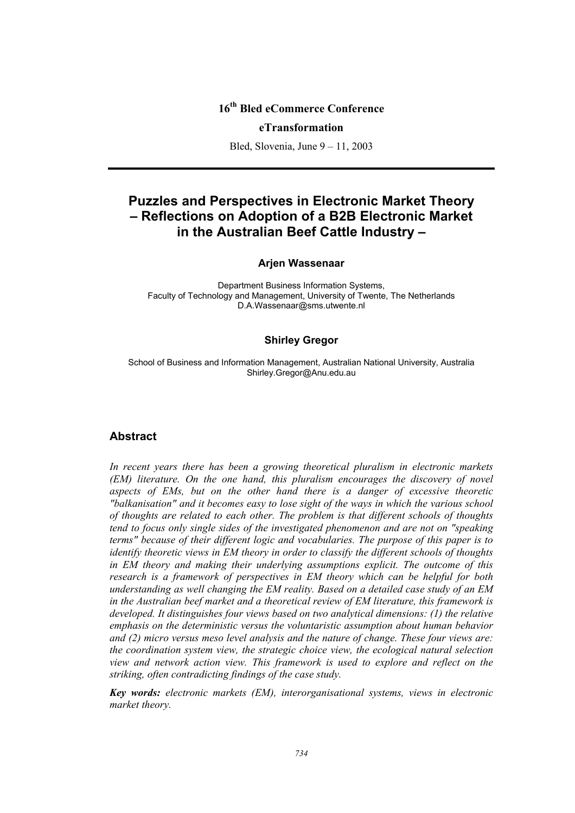# **16th Bled eCommerce Conference**

#### **eTransformation**

Bled, Slovenia, June 9 – 11, 2003

# **Puzzles and Perspectives in Electronic Market Theory – Reflections on Adoption of a B2B Electronic Market in the Australian Beef Cattle Industry –**

# **Arjen Wassenaar**

Department Business Information Systems, Faculty of Technology and Management, University of Twente, The Netherlands D.A.Wassenaar@sms.utwente.nl

#### **Shirley Gregor**

School of Business and Information Management, Australian National University, Australia Shirley.Gregor@Anu.edu.au

## **Abstract**

*In recent years there has been a growing theoretical pluralism in electronic markets (EM) literature. On the one hand, this pluralism encourages the discovery of novel aspects of EMs, but on the other hand there is a danger of excessive theoretic "balkanisation" and it becomes easy to lose sight of the ways in which the various school of thoughts are related to each other. The problem is that different schools of thoughts tend to focus only single sides of the investigated phenomenon and are not on "speaking terms" because of their different logic and vocabularies. The purpose of this paper is to identify theoretic views in EM theory in order to classify the different schools of thoughts in EM theory and making their underlying assumptions explicit. The outcome of this research is a framework of perspectives in EM theory which can be helpful for both understanding as well changing the EM reality. Based on a detailed case study of an EM in the Australian beef market and a theoretical review of EM literature, this framework is developed. It distinguishes four views based on two analytical dimensions: (1) the relative emphasis on the deterministic versus the voluntaristic assumption about human behavior and (2) micro versus meso level analysis and the nature of change. These four views are: the coordination system view, the strategic choice view, the ecological natural selection view and network action view. This framework is used to explore and reflect on the striking, often contradicting findings of the case study.* 

*Key words: electronic markets (EM), interorganisational systems, views in electronic market theory.*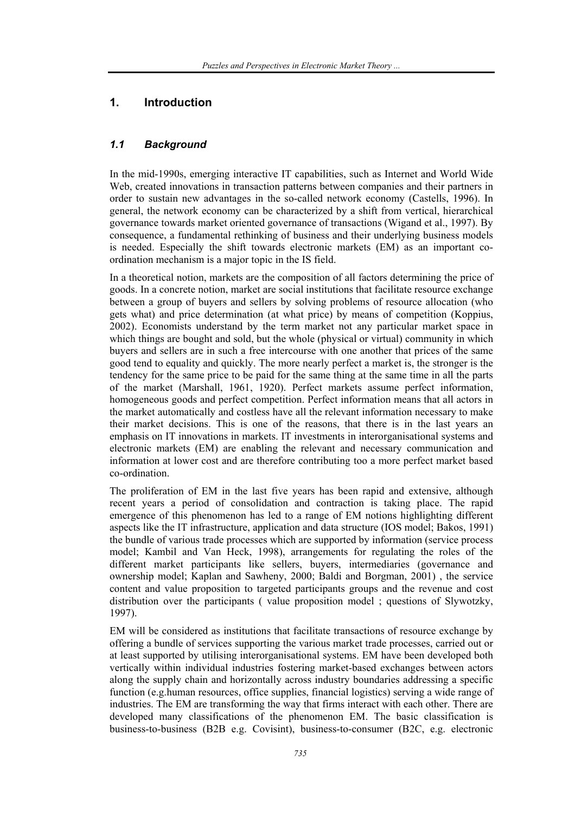# **1. Introduction**

# *1.1 Background*

In the mid-1990s, emerging interactive IT capabilities, such as Internet and World Wide Web, created innovations in transaction patterns between companies and their partners in order to sustain new advantages in the so-called network economy (Castells, 1996). In general, the network economy can be characterized by a shift from vertical, hierarchical governance towards market oriented governance of transactions (Wigand et al., 1997). By consequence, a fundamental rethinking of business and their underlying business models is needed. Especially the shift towards electronic markets (EM) as an important coordination mechanism is a major topic in the IS field.

In a theoretical notion, markets are the composition of all factors determining the price of goods. In a concrete notion, market are social institutions that facilitate resource exchange between a group of buyers and sellers by solving problems of resource allocation (who gets what) and price determination (at what price) by means of competition (Koppius, 2002). Economists understand by the term market not any particular market space in which things are bought and sold, but the whole (physical or virtual) community in which buyers and sellers are in such a free intercourse with one another that prices of the same good tend to equality and quickly. The more nearly perfect a market is, the stronger is the tendency for the same price to be paid for the same thing at the same time in all the parts of the market (Marshall, 1961, 1920). Perfect markets assume perfect information, homogeneous goods and perfect competition. Perfect information means that all actors in the market automatically and costless have all the relevant information necessary to make their market decisions. This is one of the reasons, that there is in the last years an emphasis on IT innovations in markets. IT investments in interorganisational systems and electronic markets (EM) are enabling the relevant and necessary communication and information at lower cost and are therefore contributing too a more perfect market based co-ordination.

The proliferation of EM in the last five years has been rapid and extensive, although recent years a period of consolidation and contraction is taking place. The rapid emergence of this phenomenon has led to a range of EM notions highlighting different aspects like the IT infrastructure, application and data structure (IOS model; Bakos, 1991) the bundle of various trade processes which are supported by information (service process model; Kambil and Van Heck, 1998), arrangements for regulating the roles of the different market participants like sellers, buyers, intermediaries (governance and ownership model; Kaplan and Sawheny, 2000; Baldi and Borgman, 2001) , the service content and value proposition to targeted participants groups and the revenue and cost distribution over the participants ( value proposition model ; questions of Slywotzky, 1997).

EM will be considered as institutions that facilitate transactions of resource exchange by offering a bundle of services supporting the various market trade processes, carried out or at least supported by utilising interorganisational systems. EM have been developed both vertically within individual industries fostering market-based exchanges between actors along the supply chain and horizontally across industry boundaries addressing a specific function (e.g.human resources, office supplies, financial logistics) serving a wide range of industries. The EM are transforming the way that firms interact with each other. There are developed many classifications of the phenomenon EM. The basic classification is business-to-business (B2B e.g. Covisint), business-to-consumer (B2C, e.g. electronic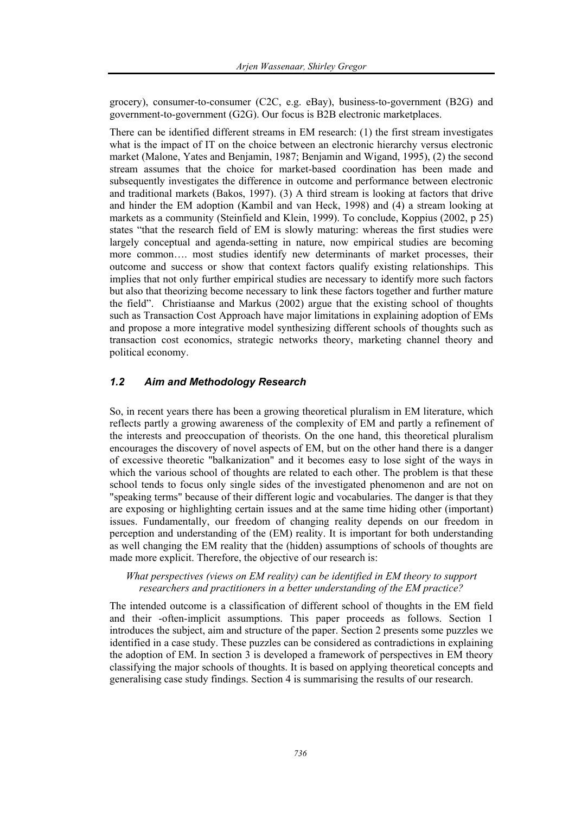grocery), consumer-to-consumer (C2C, e.g. eBay), business-to-government (B2G) and government-to-government (G2G). Our focus is B2B electronic marketplaces.

There can be identified different streams in EM research: (1) the first stream investigates what is the impact of IT on the choice between an electronic hierarchy versus electronic market (Malone, Yates and Benjamin, 1987; Benjamin and Wigand, 1995), (2) the second stream assumes that the choice for market-based coordination has been made and subsequently investigates the difference in outcome and performance between electronic and traditional markets (Bakos, 1997). (3) A third stream is looking at factors that drive and hinder the EM adoption (Kambil and van Heck, 1998) and (4) a stream looking at markets as a community (Steinfield and Klein, 1999). To conclude, Koppius (2002, p 25) states "that the research field of EM is slowly maturing: whereas the first studies were largely conceptual and agenda-setting in nature, now empirical studies are becoming more common…. most studies identify new determinants of market processes, their outcome and success or show that context factors qualify existing relationships. This implies that not only further empirical studies are necessary to identify more such factors but also that theorizing become necessary to link these factors together and further mature the field". Christiaanse and Markus (2002) argue that the existing school of thoughts such as Transaction Cost Approach have major limitations in explaining adoption of EMs and propose a more integrative model synthesizing different schools of thoughts such as transaction cost economics, strategic networks theory, marketing channel theory and political economy.

## *1.2 Aim and Methodology Research*

So, in recent years there has been a growing theoretical pluralism in EM literature, which reflects partly a growing awareness of the complexity of EM and partly a refinement of the interests and preoccupation of theorists. On the one hand, this theoretical pluralism encourages the discovery of novel aspects of EM, but on the other hand there is a danger of excessive theoretic "balkanization" and it becomes easy to lose sight of the ways in which the various school of thoughts are related to each other. The problem is that these school tends to focus only single sides of the investigated phenomenon and are not on "speaking terms" because of their different logic and vocabularies. The danger is that they are exposing or highlighting certain issues and at the same time hiding other (important) issues. Fundamentally, our freedom of changing reality depends on our freedom in perception and understanding of the (EM) reality. It is important for both understanding as well changing the EM reality that the (hidden) assumptions of schools of thoughts are made more explicit. Therefore, the objective of our research is:

*What perspectives (views on EM reality) can be identified in EM theory to support researchers and practitioners in a better understanding of the EM practice?* 

The intended outcome is a classification of different school of thoughts in the EM field and their -often-implicit assumptions. This paper proceeds as follows. Section 1 introduces the subject, aim and structure of the paper. Section 2 presents some puzzles we identified in a case study. These puzzles can be considered as contradictions in explaining the adoption of EM. In section 3 is developed a framework of perspectives in EM theory classifying the major schools of thoughts. It is based on applying theoretical concepts and generalising case study findings. Section 4 is summarising the results of our research.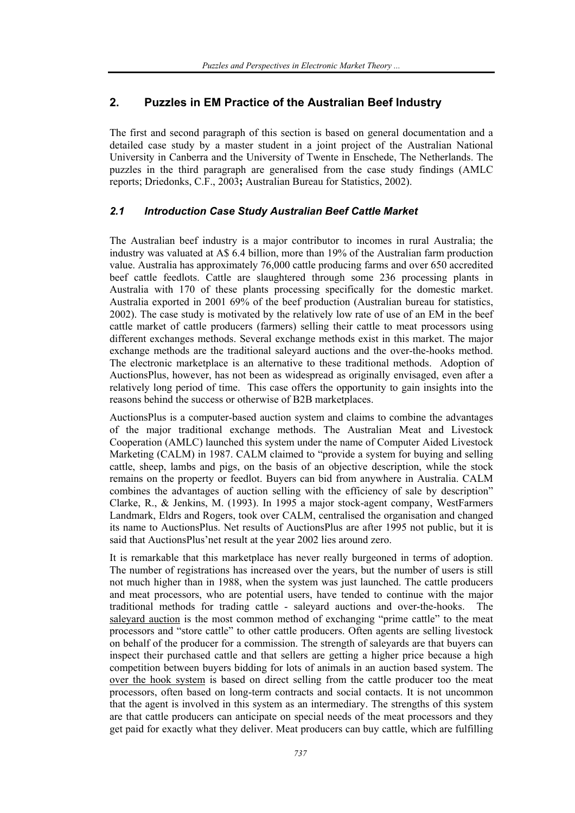# **2. Puzzles in EM Practice of the Australian Beef Industry**

The first and second paragraph of this section is based on general documentation and a detailed case study by a master student in a joint project of the Australian National University in Canberra and the University of Twente in Enschede, The Netherlands. The puzzles in the third paragraph are generalised from the case study findings (AMLC reports; Driedonks, C.F., 2003**;** Australian Bureau for Statistics, 2002).

# *2.1 Introduction Case Study Australian Beef Cattle Market*

The Australian beef industry is a major contributor to incomes in rural Australia; the industry was valuated at A\$ 6.4 billion, more than 19% of the Australian farm production value. Australia has approximately 76,000 cattle producing farms and over 650 accredited beef cattle feedlots. Cattle are slaughtered through some 236 processing plants in Australia with 170 of these plants processing specifically for the domestic market. Australia exported in 2001 69% of the beef production (Australian bureau for statistics, 2002). The case study is motivated by the relatively low rate of use of an EM in the beef cattle market of cattle producers (farmers) selling their cattle to meat processors using different exchanges methods. Several exchange methods exist in this market. The major exchange methods are the traditional saleyard auctions and the over-the-hooks method. The electronic marketplace is an alternative to these traditional methods. Adoption of AuctionsPlus, however, has not been as widespread as originally envisaged, even after a relatively long period of time. This case offers the opportunity to gain insights into the reasons behind the success or otherwise of B2B marketplaces.

AuctionsPlus is a computer-based auction system and claims to combine the advantages of the major traditional exchange methods. The Australian Meat and Livestock Cooperation (AMLC) launched this system under the name of Computer Aided Livestock Marketing (CALM) in 1987. CALM claimed to "provide a system for buying and selling cattle, sheep, lambs and pigs, on the basis of an objective description, while the stock remains on the property or feedlot. Buyers can bid from anywhere in Australia. CALM combines the advantages of auction selling with the efficiency of sale by description" Clarke, R., & Jenkins, M. (1993). In 1995 a major stock-agent company, WestFarmers Landmark, Eldrs and Rogers, took over CALM, centralised the organisation and changed its name to AuctionsPlus. Net results of AuctionsPlus are after 1995 not public, but it is said that AuctionsPlus'net result at the year 2002 lies around zero.

It is remarkable that this marketplace has never really burgeoned in terms of adoption. The number of registrations has increased over the years, but the number of users is still not much higher than in 1988, when the system was just launched. The cattle producers and meat processors, who are potential users, have tended to continue with the major traditional methods for trading cattle - saleyard auctions and over-the-hooks. The saleyard auction is the most common method of exchanging "prime cattle" to the meat processors and "store cattle" to other cattle producers. Often agents are selling livestock on behalf of the producer for a commission. The strength of saleyards are that buyers can inspect their purchased cattle and that sellers are getting a higher price because a high competition between buyers bidding for lots of animals in an auction based system. The over the hook system is based on direct selling from the cattle producer too the meat processors, often based on long-term contracts and social contacts. It is not uncommon that the agent is involved in this system as an intermediary. The strengths of this system are that cattle producers can anticipate on special needs of the meat processors and they get paid for exactly what they deliver. Meat producers can buy cattle, which are fulfilling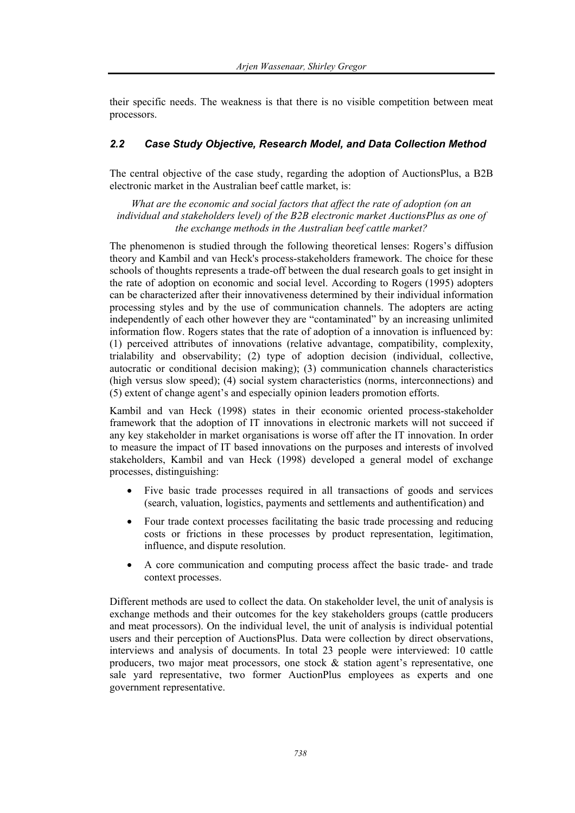their specific needs. The weakness is that there is no visible competition between meat processors.

# *2.2 Case Study Objective, Research Model, and Data Collection Method*

The central objective of the case study, regarding the adoption of AuctionsPlus, a B2B electronic market in the Australian beef cattle market, is:

*What are the economic and social factors that affect the rate of adoption (on an individual and stakeholders level) of the B2B electronic market AuctionsPlus as one of the exchange methods in the Australian beef cattle market?*

The phenomenon is studied through the following theoretical lenses: Rogers's diffusion theory and Kambil and van Heck's process-stakeholders framework. The choice for these schools of thoughts represents a trade-off between the dual research goals to get insight in the rate of adoption on economic and social level. According to Rogers (1995) adopters can be characterized after their innovativeness determined by their individual information processing styles and by the use of communication channels. The adopters are acting independently of each other however they are "contaminated" by an increasing unlimited information flow. Rogers states that the rate of adoption of a innovation is influenced by: (1) perceived attributes of innovations (relative advantage, compatibility, complexity, trialability and observability; (2) type of adoption decision (individual, collective, autocratic or conditional decision making); (3) communication channels characteristics (high versus slow speed); (4) social system characteristics (norms, interconnections) and (5) extent of change agent's and especially opinion leaders promotion efforts.

Kambil and van Heck (1998) states in their economic oriented process-stakeholder framework that the adoption of IT innovations in electronic markets will not succeed if any key stakeholder in market organisations is worse off after the IT innovation. In order to measure the impact of IT based innovations on the purposes and interests of involved stakeholders, Kambil and van Heck (1998) developed a general model of exchange processes, distinguishing:

- Five basic trade processes required in all transactions of goods and services (search, valuation, logistics, payments and settlements and authentification) and
- Four trade context processes facilitating the basic trade processing and reducing costs or frictions in these processes by product representation, legitimation, influence, and dispute resolution.
- A core communication and computing process affect the basic trade- and trade context processes.

Different methods are used to collect the data. On stakeholder level, the unit of analysis is exchange methods and their outcomes for the key stakeholders groups (cattle producers and meat processors). On the individual level, the unit of analysis is individual potential users and their perception of AuctionsPlus. Data were collection by direct observations, interviews and analysis of documents. In total 23 people were interviewed: 10 cattle producers, two major meat processors, one stock  $\&$  station agent's representative, one sale yard representative, two former AuctionPlus employees as experts and one government representative.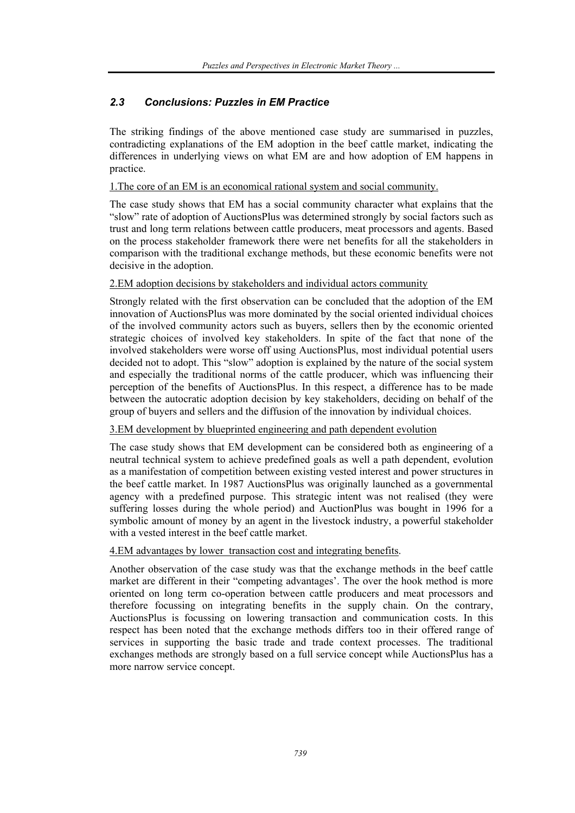# *2.3 Conclusions: Puzzles in EM Practice*

The striking findings of the above mentioned case study are summarised in puzzles, contradicting explanations of the EM adoption in the beef cattle market, indicating the differences in underlying views on what EM are and how adoption of EM happens in practice.

1.The core of an EM is an economical rational system and social community.

The case study shows that EM has a social community character what explains that the "slow" rate of adoption of AuctionsPlus was determined strongly by social factors such as trust and long term relations between cattle producers, meat processors and agents. Based on the process stakeholder framework there were net benefits for all the stakeholders in comparison with the traditional exchange methods, but these economic benefits were not decisive in the adoption.

# 2.EM adoption decisions by stakeholders and individual actors community

Strongly related with the first observation can be concluded that the adoption of the EM innovation of AuctionsPlus was more dominated by the social oriented individual choices of the involved community actors such as buyers, sellers then by the economic oriented strategic choices of involved key stakeholders. In spite of the fact that none of the involved stakeholders were worse off using AuctionsPlus, most individual potential users decided not to adopt. This "slow" adoption is explained by the nature of the social system and especially the traditional norms of the cattle producer, which was influencing their perception of the benefits of AuctionsPlus. In this respect, a difference has to be made between the autocratic adoption decision by key stakeholders, deciding on behalf of the group of buyers and sellers and the diffusion of the innovation by individual choices.

# 3.EM development by blueprinted engineering and path dependent evolution

The case study shows that EM development can be considered both as engineering of a neutral technical system to achieve predefined goals as well a path dependent, evolution as a manifestation of competition between existing vested interest and power structures in the beef cattle market. In 1987 AuctionsPlus was originally launched as a governmental agency with a predefined purpose. This strategic intent was not realised (they were suffering losses during the whole period) and AuctionPlus was bought in 1996 for a symbolic amount of money by an agent in the livestock industry, a powerful stakeholder with a vested interest in the beef cattle market.

## 4.EM advantages by lower transaction cost and integrating benefits.

Another observation of the case study was that the exchange methods in the beef cattle market are different in their "competing advantages'. The over the hook method is more oriented on long term co-operation between cattle producers and meat processors and therefore focussing on integrating benefits in the supply chain. On the contrary, AuctionsPlus is focussing on lowering transaction and communication costs. In this respect has been noted that the exchange methods differs too in their offered range of services in supporting the basic trade and trade context processes. The traditional exchanges methods are strongly based on a full service concept while AuctionsPlus has a more narrow service concept.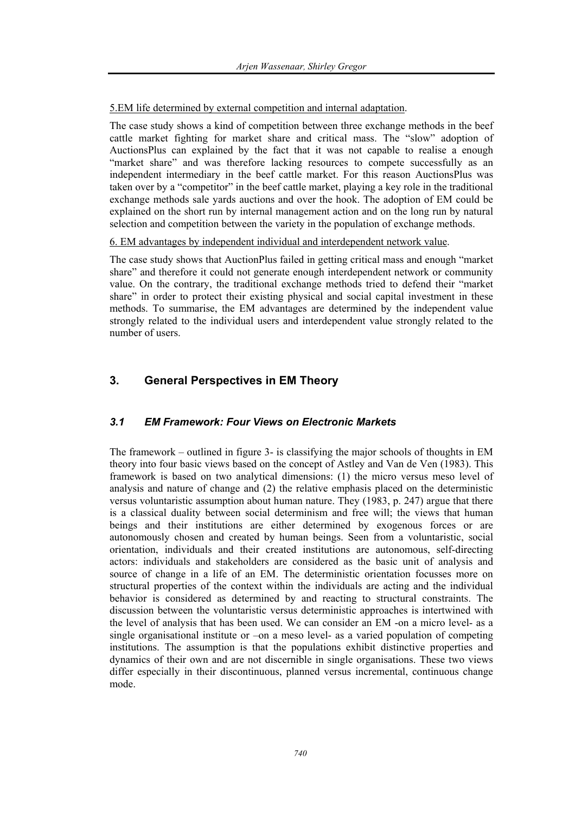# 5.EM life determined by external competition and internal adaptation.

The case study shows a kind of competition between three exchange methods in the beef cattle market fighting for market share and critical mass. The "slow" adoption of AuctionsPlus can explained by the fact that it was not capable to realise a enough "market share" and was therefore lacking resources to compete successfully as an independent intermediary in the beef cattle market. For this reason AuctionsPlus was taken over by a "competitor" in the beef cattle market, playing a key role in the traditional exchange methods sale yards auctions and over the hook. The adoption of EM could be explained on the short run by internal management action and on the long run by natural selection and competition between the variety in the population of exchange methods.

## 6. EM advantages by independent individual and interdependent network value.

The case study shows that AuctionPlus failed in getting critical mass and enough "market share" and therefore it could not generate enough interdependent network or community value. On the contrary, the traditional exchange methods tried to defend their "market share" in order to protect their existing physical and social capital investment in these methods. To summarise, the EM advantages are determined by the independent value strongly related to the individual users and interdependent value strongly related to the number of users.

# **3. General Perspectives in EM Theory**

# *3.1 EM Framework: Four Views on Electronic Markets*

The framework – outlined in figure 3- is classifying the major schools of thoughts in EM theory into four basic views based on the concept of Astley and Van de Ven (1983). This framework is based on two analytical dimensions: (1) the micro versus meso level of analysis and nature of change and (2) the relative emphasis placed on the deterministic versus voluntaristic assumption about human nature. They (1983, p. 247) argue that there is a classical duality between social determinism and free will; the views that human beings and their institutions are either determined by exogenous forces or are autonomously chosen and created by human beings. Seen from a voluntaristic, social orientation, individuals and their created institutions are autonomous, self-directing actors: individuals and stakeholders are considered as the basic unit of analysis and source of change in a life of an EM. The deterministic orientation focusses more on structural properties of the context within the individuals are acting and the individual behavior is considered as determined by and reacting to structural constraints. The discussion between the voluntaristic versus deterministic approaches is intertwined with the level of analysis that has been used. We can consider an EM -on a micro level- as a single organisational institute or –on a meso level- as a varied population of competing institutions. The assumption is that the populations exhibit distinctive properties and dynamics of their own and are not discernible in single organisations. These two views differ especially in their discontinuous, planned versus incremental, continuous change mode.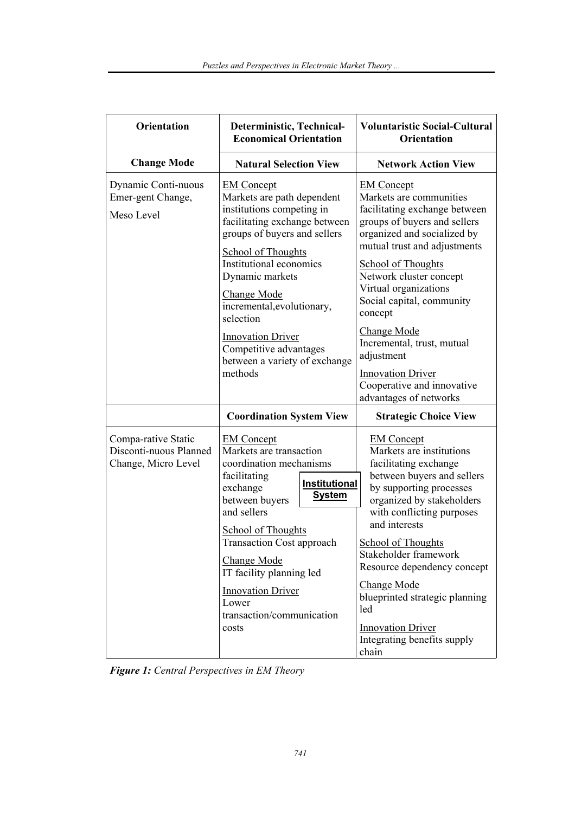| <b>Orientation</b>                                                   | Deterministic, Technical-<br><b>Economical Orientation</b>                                                                                                                                                                                                                                                                                                           | <b>Voluntaristic Social-Cultural</b><br><b>Orientation</b>                                                                                                                                                                                                                                                                                                                                                                         |
|----------------------------------------------------------------------|----------------------------------------------------------------------------------------------------------------------------------------------------------------------------------------------------------------------------------------------------------------------------------------------------------------------------------------------------------------------|------------------------------------------------------------------------------------------------------------------------------------------------------------------------------------------------------------------------------------------------------------------------------------------------------------------------------------------------------------------------------------------------------------------------------------|
| <b>Change Mode</b>                                                   | <b>Natural Selection View</b>                                                                                                                                                                                                                                                                                                                                        | <b>Network Action View</b>                                                                                                                                                                                                                                                                                                                                                                                                         |
| Dynamic Conti-nuous<br>Emer-gent Change,<br>Meso Level               | <b>EM Concept</b><br>Markets are path dependent<br>institutions competing in<br>facilitating exchange between<br>groups of buyers and sellers<br><b>School of Thoughts</b><br>Institutional economics<br>Dynamic markets<br><b>Change Mode</b><br>incremental, evolutionary,<br>selection<br><b>Innovation Driver</b>                                                | <b>EM Concept</b><br>Markets are communities<br>facilitating exchange between<br>groups of buyers and sellers<br>organized and socialized by<br>mutual trust and adjustments<br><b>School of Thoughts</b><br>Network cluster concept<br>Virtual organizations<br>Social capital, community<br>concept<br><b>Change Mode</b><br>Incremental, trust, mutual<br>Competitive advantages                                                |
|                                                                      | between a variety of exchange<br>methods                                                                                                                                                                                                                                                                                                                             | adjustment<br><b>Innovation Driver</b><br>Cooperative and innovative<br>advantages of networks                                                                                                                                                                                                                                                                                                                                     |
|                                                                      | <b>Coordination System View</b>                                                                                                                                                                                                                                                                                                                                      | <b>Strategic Choice View</b>                                                                                                                                                                                                                                                                                                                                                                                                       |
| Compa-rative Static<br>Disconti-nuous Planned<br>Change, Micro Level | <b>EM Concept</b><br>Markets are transaction<br>coordination mechanisms<br>facilitating<br>Institutional<br>exchange<br><b>System</b><br>between buyers<br>and sellers<br><b>School of Thoughts</b><br><b>Transaction Cost approach</b><br><b>Change Mode</b><br>IT facility planning led<br><b>Innovation Driver</b><br>Lower<br>transaction/communication<br>costs | <b>EM Concept</b><br>Markets are institutions<br>facilitating exchange<br>between buyers and sellers<br>by supporting processes<br>organized by stakeholders<br>with conflicting purposes<br>and interests<br><b>School of Thoughts</b><br>Stakeholder framework<br>Resource dependency concept<br><b>Change Mode</b><br>blueprinted strategic planning<br>led<br><b>Innovation Driver</b><br>Integrating benefits supply<br>chain |

*Figure 1: Central Perspectives in EM Theory*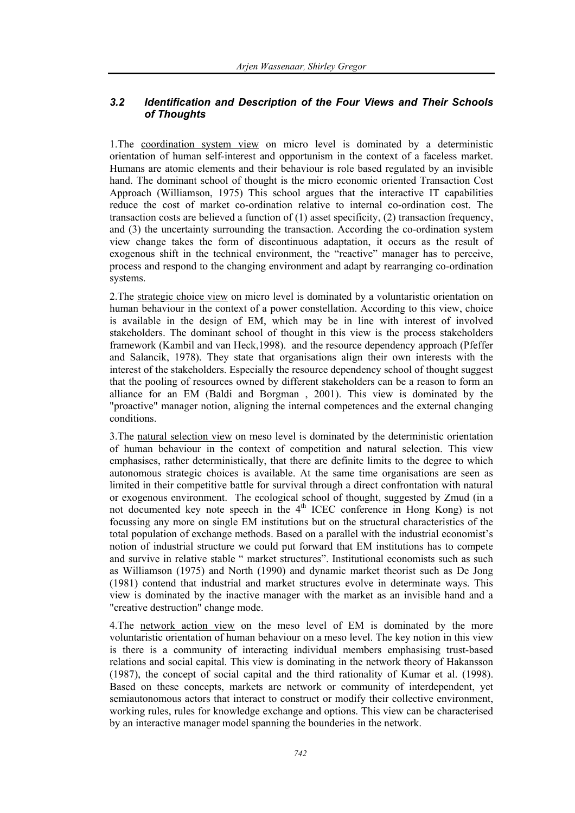# *3.2 Identification and Description of the Four Views and Their Schools of Thoughts*

1.The coordination system view on micro level is dominated by a deterministic orientation of human self-interest and opportunism in the context of a faceless market. Humans are atomic elements and their behaviour is role based regulated by an invisible hand. The dominant school of thought is the micro economic oriented Transaction Cost Approach (Williamson, 1975) This school argues that the interactive IT capabilities reduce the cost of market co-ordination relative to internal co-ordination cost. The transaction costs are believed a function of (1) asset specificity, (2) transaction frequency, and (3) the uncertainty surrounding the transaction. According the co-ordination system view change takes the form of discontinuous adaptation, it occurs as the result of exogenous shift in the technical environment, the "reactive" manager has to perceive, process and respond to the changing environment and adapt by rearranging co-ordination systems.

2.The strategic choice view on micro level is dominated by a voluntaristic orientation on human behaviour in the context of a power constellation. According to this view, choice is available in the design of EM, which may be in line with interest of involved stakeholders. The dominant school of thought in this view is the process stakeholders framework (Kambil and van Heck,1998). and the resource dependency approach (Pfeffer and Salancik, 1978). They state that organisations align their own interests with the interest of the stakeholders. Especially the resource dependency school of thought suggest that the pooling of resources owned by different stakeholders can be a reason to form an alliance for an EM (Baldi and Borgman , 2001). This view is dominated by the "proactive" manager notion, aligning the internal competences and the external changing conditions.

3.The natural selection view on meso level is dominated by the deterministic orientation of human behaviour in the context of competition and natural selection. This view emphasises, rather deterministically, that there are definite limits to the degree to which autonomous strategic choices is available. At the same time organisations are seen as limited in their competitive battle for survival through a direct confrontation with natural or exogenous environment. The ecological school of thought, suggested by Zmud (in a not documented key note speech in the 4<sup>th</sup> ICEC conference in Hong Kong) is not focussing any more on single EM institutions but on the structural characteristics of the total population of exchange methods. Based on a parallel with the industrial economist's notion of industrial structure we could put forward that EM institutions has to compete and survive in relative stable " market structures". Institutional economists such as such as Williamson (1975) and North (1990) and dynamic market theorist such as De Jong (1981) contend that industrial and market structures evolve in determinate ways. This view is dominated by the inactive manager with the market as an invisible hand and a "creative destruction" change mode.

4.The network action view on the meso level of EM is dominated by the more voluntaristic orientation of human behaviour on a meso level. The key notion in this view is there is a community of interacting individual members emphasising trust-based relations and social capital. This view is dominating in the network theory of Hakansson (1987), the concept of social capital and the third rationality of Kumar et al. (1998). Based on these concepts, markets are network or community of interdependent, yet semiautonomous actors that interact to construct or modify their collective environment, working rules, rules for knowledge exchange and options. This view can be characterised by an interactive manager model spanning the bounderies in the network.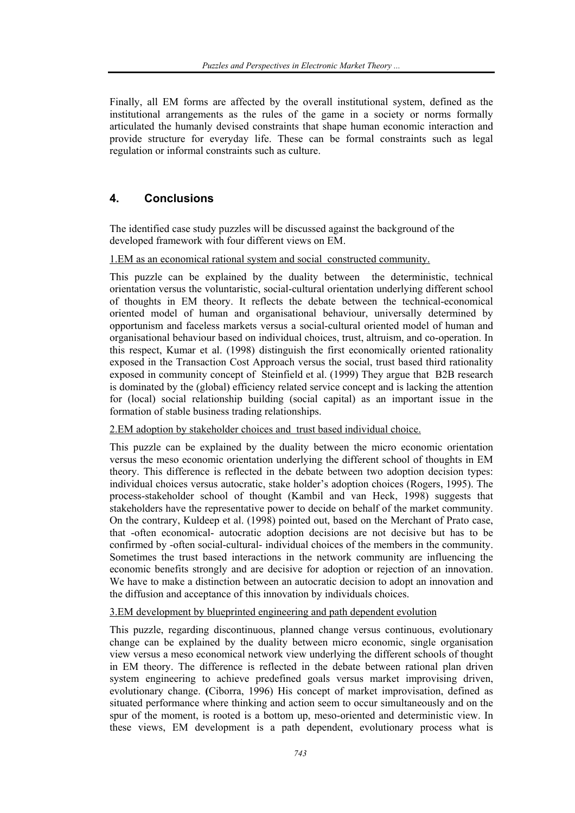Finally, all EM forms are affected by the overall institutional system, defined as the institutional arrangements as the rules of the game in a society or norms formally articulated the humanly devised constraints that shape human economic interaction and provide structure for everyday life. These can be formal constraints such as legal regulation or informal constraints such as culture.

# **4. Conclusions**

The identified case study puzzles will be discussed against the background of the developed framework with four different views on EM.

## 1.EM as an economical rational system and social constructed community.

This puzzle can be explained by the duality between the deterministic, technical orientation versus the voluntaristic, social-cultural orientation underlying different school of thoughts in EM theory. It reflects the debate between the technical-economical oriented model of human and organisational behaviour, universally determined by opportunism and faceless markets versus a social-cultural oriented model of human and organisational behaviour based on individual choices, trust, altruism, and co-operation. In this respect, Kumar et al. (1998) distinguish the first economically oriented rationality exposed in the Transaction Cost Approach versus the social, trust based third rationality exposed in community concept of Steinfield et al. (1999) They argue that B2B research is dominated by the (global) efficiency related service concept and is lacking the attention for (local) social relationship building (social capital) as an important issue in the formation of stable business trading relationships.

## 2.EM adoption by stakeholder choices and trust based individual choice.

This puzzle can be explained by the duality between the micro economic orientation versus the meso economic orientation underlying the different school of thoughts in EM theory. This difference is reflected in the debate between two adoption decision types: individual choices versus autocratic, stake holder's adoption choices (Rogers, 1995). The process-stakeholder school of thought (Kambil and van Heck, 1998) suggests that stakeholders have the representative power to decide on behalf of the market community. On the contrary, Kuldeep et al. (1998) pointed out, based on the Merchant of Prato case, that -often economical- autocratic adoption decisions are not decisive but has to be confirmed by -often social-cultural- individual choices of the members in the community. Sometimes the trust based interactions in the network community are influencing the economic benefits strongly and are decisive for adoption or rejection of an innovation. We have to make a distinction between an autocratic decision to adopt an innovation and the diffusion and acceptance of this innovation by individuals choices.

#### 3.EM development by blueprinted engineering and path dependent evolution

This puzzle, regarding discontinuous, planned change versus continuous, evolutionary change can be explained by the duality between micro economic, single organisation view versus a meso economical network view underlying the different schools of thought in EM theory. The difference is reflected in the debate between rational plan driven system engineering to achieve predefined goals versus market improvising driven, evolutionary change. **(**Ciborra, 1996) His concept of market improvisation, defined as situated performance where thinking and action seem to occur simultaneously and on the spur of the moment, is rooted is a bottom up, meso-oriented and deterministic view. In these views, EM development is a path dependent, evolutionary process what is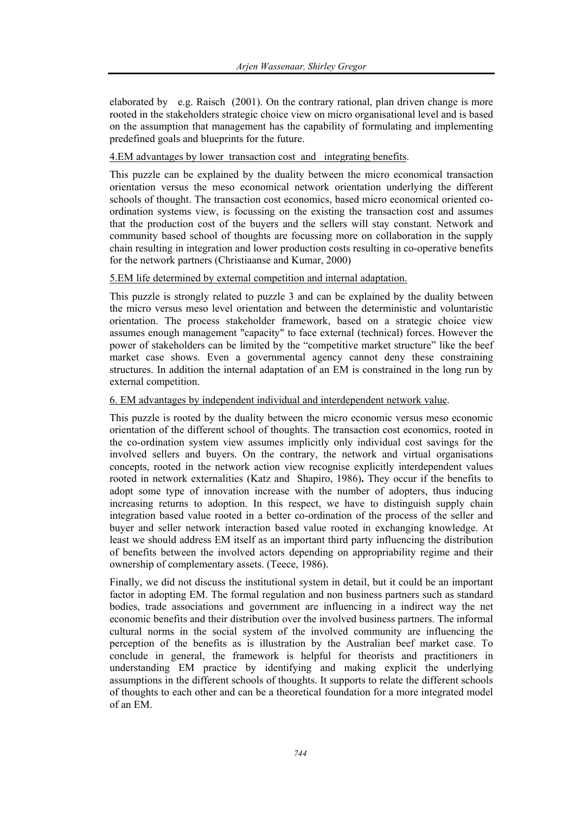elaborated by e.g. Raisch (2001). On the contrary rational, plan driven change is more rooted in the stakeholders strategic choice view on micro organisational level and is based on the assumption that management has the capability of formulating and implementing predefined goals and blueprints for the future.

# 4.EM advantages by lower transaction cost and integrating benefits.

This puzzle can be explained by the duality between the micro economical transaction orientation versus the meso economical network orientation underlying the different schools of thought. The transaction cost economics, based micro economical oriented coordination systems view, is focussing on the existing the transaction cost and assumes that the production cost of the buyers and the sellers will stay constant. Network and community based school of thoughts are focussing more on collaboration in the supply chain resulting in integration and lower production costs resulting in co-operative benefits for the network partners (Christiaanse and Kumar, 2000)

# 5.EM life determined by external competition and internal adaptation.

This puzzle is strongly related to puzzle 3 and can be explained by the duality between the micro versus meso level orientation and between the deterministic and voluntaristic orientation. The process stakeholder framework, based on a strategic choice view assumes enough management "capacity" to face external (technical) forces. However the power of stakeholders can be limited by the "competitive market structure" like the beef market case shows. Even a governmental agency cannot deny these constraining structures. In addition the internal adaptation of an EM is constrained in the long run by external competition.

## 6. EM advantages by independent individual and interdependent network value.

This puzzle is rooted by the duality between the micro economic versus meso economic orientation of the different school of thoughts. The transaction cost economics, rooted in the co-ordination system view assumes implicitly only individual cost savings for the involved sellers and buyers. On the contrary, the network and virtual organisations concepts, rooted in the network action view recognise explicitly interdependent values rooted in network externalities (Katz and Shapiro, 1986)**.** They occur if the benefits to adopt some type of innovation increase with the number of adopters, thus inducing increasing returns to adoption. In this respect, we have to distinguish supply chain integration based value rooted in a better co-ordination of the process of the seller and buyer and seller network interaction based value rooted in exchanging knowledge. At least we should address EM itself as an important third party influencing the distribution of benefits between the involved actors depending on appropriability regime and their ownership of complementary assets. (Teece, 1986).

Finally, we did not discuss the institutional system in detail, but it could be an important factor in adopting EM. The formal regulation and non business partners such as standard bodies, trade associations and government are influencing in a indirect way the net economic benefits and their distribution over the involved business partners. The informal cultural norms in the social system of the involved community are influencing the perception of the benefits as is illustration by the Australian beef market case. To conclude in general, the framework is helpful for theorists and practitioners in understanding EM practice by identifying and making explicit the underlying assumptions in the different schools of thoughts. It supports to relate the different schools of thoughts to each other and can be a theoretical foundation for a more integrated model of an EM.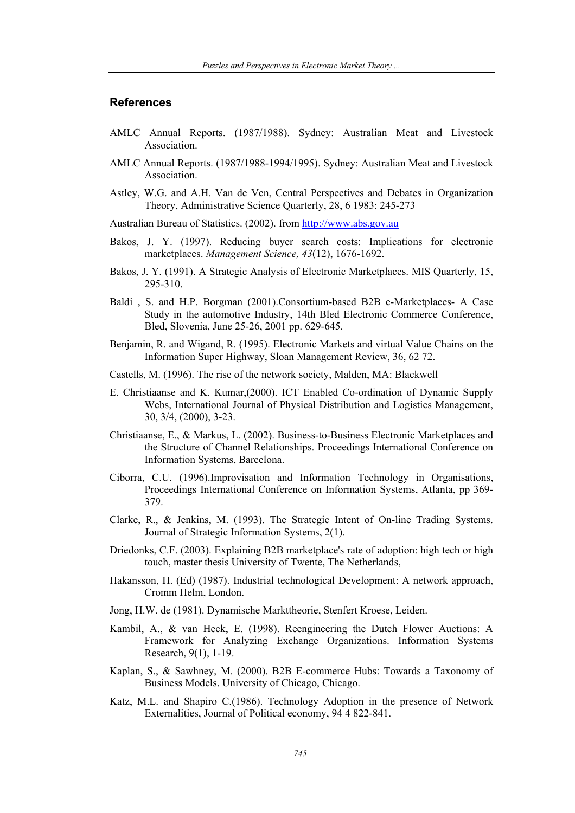# **References**

- AMLC Annual Reports. (1987/1988). Sydney: Australian Meat and Livestock Association.
- AMLC Annual Reports. (1987/1988-1994/1995). Sydney: Australian Meat and Livestock Association.
- Astley, W.G. and A.H. Van de Ven, Central Perspectives and Debates in Organization Theory, Administrative Science Quarterly, 28, 6 1983: 245-273

Australian Bureau of Statistics. (2002). from http://www.abs.gov.au

- Bakos, J. Y. (1997). Reducing buyer search costs: Implications for electronic marketplaces. *Management Science, 43*(12), 1676-1692.
- Bakos, J. Y. (1991). A Strategic Analysis of Electronic Marketplaces. MIS Quarterly, 15, 295-310.
- Baldi , S. and H.P. Borgman (2001).Consortium-based B2B e-Marketplaces- A Case Study in the automotive Industry, 14th Bled Electronic Commerce Conference, Bled, Slovenia, June 25-26, 2001 pp. 629-645.
- Benjamin, R. and Wigand, R. (1995). Electronic Markets and virtual Value Chains on the Information Super Highway, Sloan Management Review, 36, 62 72.
- Castells, M. (1996). The rise of the network society, Malden, MA: Blackwell
- E. Christiaanse and K. Kumar,(2000). ICT Enabled Co-ordination of Dynamic Supply Webs, International Journal of Physical Distribution and Logistics Management, 30, 3/4, (2000), 3-23.
- Christiaanse, E., & Markus, L. (2002). Business-to-Business Electronic Marketplaces and the Structure of Channel Relationships. Proceedings International Conference on Information Systems, Barcelona.
- Ciborra, C.U. (1996).Improvisation and Information Technology in Organisations, Proceedings International Conference on Information Systems, Atlanta, pp 369- 379.
- Clarke, R., & Jenkins, M. (1993). The Strategic Intent of On-line Trading Systems. Journal of Strategic Information Systems, 2(1).
- Driedonks, C.F. (2003). Explaining B2B marketplace's rate of adoption: high tech or high touch, master thesis University of Twente, The Netherlands,
- Hakansson, H. (Ed) (1987). Industrial technological Development: A network approach, Cromm Helm, London.
- Jong, H.W. de (1981). Dynamische Markttheorie, Stenfert Kroese, Leiden.
- Kambil, A., & van Heck, E. (1998). Reengineering the Dutch Flower Auctions: A Framework for Analyzing Exchange Organizations. Information Systems Research, 9(1), 1-19.
- Kaplan, S., & Sawhney, M. (2000). B2B E-commerce Hubs: Towards a Taxonomy of Business Models. University of Chicago, Chicago.
- Katz, M.L. and Shapiro C.(1986). Technology Adoption in the presence of Network Externalities, Journal of Political economy, 94 4 822-841.